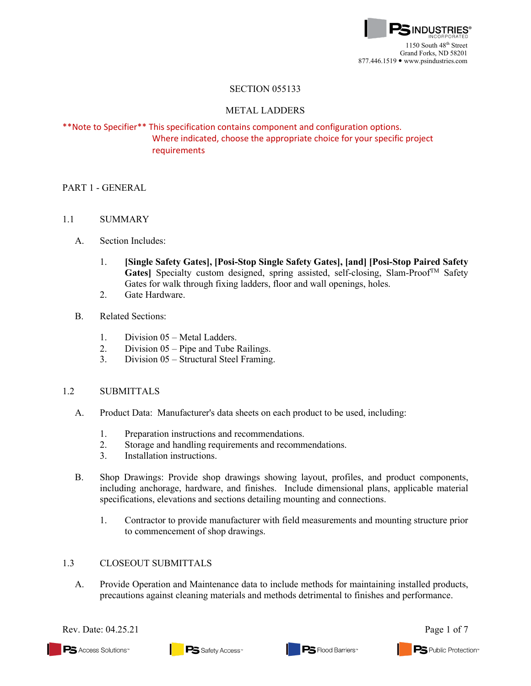

### SECTION 055133

### METAL LADDERS

# \*\*Note to Specifier\*\* This specification contains component and configuration options. Where indicated, choose the appropriate choice for your specific project requirements

## PART 1 - GENERAL

- 1.1 SUMMARY
	- A. Section Includes:
		- 1. **[Single Safety Gates], [Posi-Stop Single Safety Gates], [and] [Posi-Stop Paired Safety Gates**] Specialty custom designed, spring assisted, self-closing, Slam-Proof<sup>TM</sup> Safety Gates for walk through fixing ladders, floor and wall openings, holes.
		- 2. Gate Hardware.
	- B. Related Sections:
		- 1. Division 05 Metal Ladders.
		- 2. Division 05 Pipe and Tube Railings.
		- 3. Division 05 Structural Steel Framing.

### 1.2 SUBMITTALS

- A. [Product Data:](http://www.arcat.com/arcatcos/cos43/arc43416.cfm) Manufacturer's data sheets on each product to be used, including:
	- 1. Preparation instructions and recommendations.
	- 2. Storage and handling requirements and recommendations.
	- 3. Installation instructions.
- B. Shop Drawings: Provide shop drawings showing layout, profiles, and product components, including anchorage, hardware, and finishes. Include dimensional plans, applicable material specifications, elevations and sections detailing mounting and connections.
	- 1. Contractor to provide manufacturer with field measurements and mounting structure prior to commencement of shop drawings.

### 1.3 CLOSEOUT SUBMITTALS

A. Provide Operation and Maintenance data to include methods for maintaining installed products, precautions against cleaning materials and methods detrimental to finishes and performance.

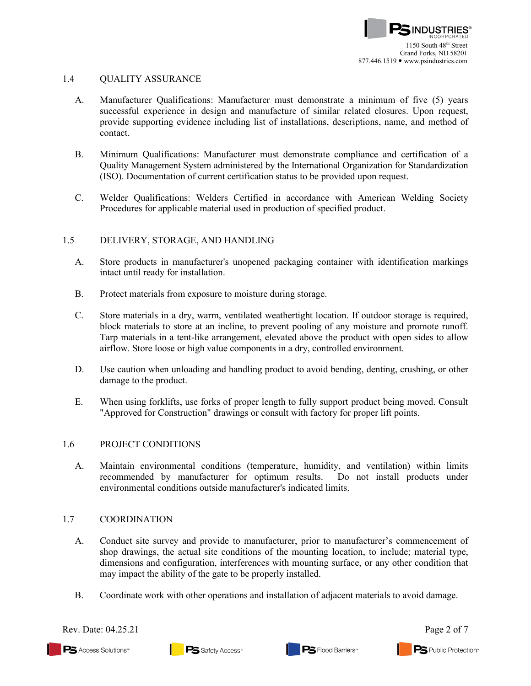### 1.4 QUALITY ASSURANCE

- A. Manufacturer Qualifications: Manufacturer must demonstrate a minimum of five (5) years successful experience in design and manufacture of similar related closures. Upon request, provide supporting evidence including list of installations, descriptions, name, and method of contact.
- B. Minimum Qualifications: Manufacturer must demonstrate compliance and certification of a Quality Management System administered by the International Organization for Standardization (ISO). Documentation of current certification status to be provided upon request.
- C. Welder Qualifications: Welders Certified in accordance with American Welding Society Procedures for applicable material used in production of specified product.

## 1.5 DELIVERY, STORAGE, AND HANDLING

- A. Store products in manufacturer's unopened packaging container with identification markings intact until ready for installation.
- B. Protect materials from exposure to moisture during storage.
- C. Store materials in a dry, warm, ventilated weathertight location. If outdoor storage is required, block materials to store at an incline, to prevent pooling of any moisture and promote runoff. Tarp materials in a tent-like arrangement, elevated above the product with open sides to allow airflow. Store loose or high value components in a dry, controlled environment.
- D. Use caution when unloading and handling product to avoid bending, denting, crushing, or other damage to the product.
- E. When using forklifts, use forks of proper length to fully support product being moved. Consult "Approved for Construction" drawings or consult with factory for proper lift points.

### 1.6 PROJECT CONDITIONS

A. Maintain environmental conditions (temperature, humidity, and ventilation) within limits recommended by manufacturer for optimum results. Do not install products under environmental conditions outside manufacturer's indicated limits.

### 1.7 COORDINATION

- A. Conduct site survey and provide to manufacturer, prior to manufacturer's commencement of shop drawings, the actual site conditions of the mounting location, to include; material type, dimensions and configuration, interferences with mounting surface, or any other condition that may impact the ability of the gate to be properly installed.
- B. Coordinate work with other operations and installation of adjacent materials to avoid damage.

Rev. Date: 04.25.21 Page 2 of 7

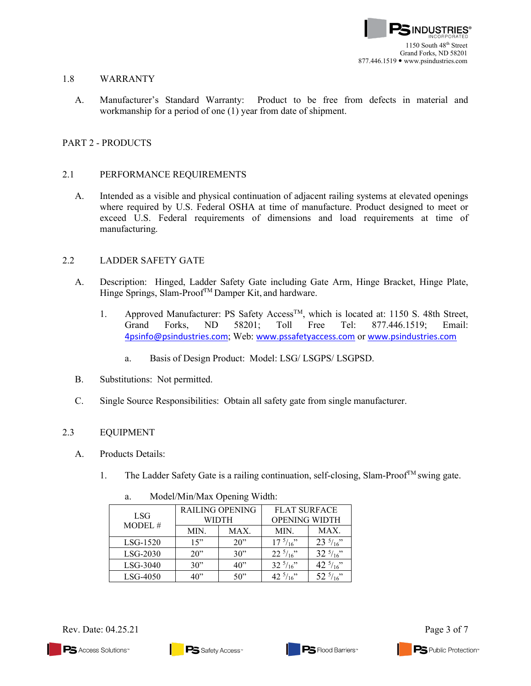

### 1.8 WARRANTY

A. Manufacturer's Standard Warranty: Product to be free from defects in material and workmanship for a period of one (1) year from date of shipment.

## PART 2 - PRODUCTS

### 2.1 PERFORMANCE REQUIREMENTS

A. Intended as a visible and physical continuation of adjacent railing systems at elevated openings where required by U.S. Federal OSHA at time of manufacture. Product designed to meet or exceed U.S. Federal requirements of dimensions and load requirements at time of manufacturing.

### 2.2 LADDER SAFETY GATE

- A. Description: Hinged, Ladder Safety Gate including Gate Arm, Hinge Bracket, Hinge Plate, Hinge Springs, Slam-Proof<sup>TM</sup> Damper Kit, and hardware.
	- 1. Approved Manufacturer: PS Safety Access<sup>TM</sup>, which is located at: 1150 S. 48th Street, Grand Forks, ND 58201; Toll Free Tel: 877.446.1519; Email: [4psinfo@psindustries.com](mailto:4psinfo@psindustries.com); Web: [www.pssafetyaccess.com](http://www.pssafetyaccess.com/) or [www.psindustries.com](http://www.psindustries.com/)
		- a. Basis of Design Product: Model: LSG/ LSGPS/ LSGPSD.
- B. Substitutions: Not permitted.
- C. Single Source Responsibilities: Obtain all safety gate from single manufacturer.

### 2.3 EQUIPMENT

- A. Products Details:
	- 1. The Ladder Safety Gate is a railing continuation, self-closing, Slam-Proof<sup>TM</sup> swing gate.

| <b>LSG</b><br>MODEL# | RAILING OPENING |      | <b>FLAT SURFACE</b> |                     |  |  |  |
|----------------------|-----------------|------|---------------------|---------------------|--|--|--|
|                      | <b>WIDTH</b>    |      | OPENING WIDTH       |                     |  |  |  |
|                      | MIN.            | MAX. | MIN.                | MAX.                |  |  |  |
| $LSG-1520$           | 15"             | 20   | $17^{5}/_{16}$ "    | $23\frac{5}{16}$    |  |  |  |
| LSG-2030             | $20$ "          | 30"  | $22^{5}/_{16}$ "    | $32^{5}/16$ "       |  |  |  |
| $LSG-3040$           | 30"             | 40"  | $32^{5}/_{16}$ "    | 42 $\frac{5}{16}$ " |  |  |  |
| $LSG-4050$           | 40"             | 50"  | 42 $\frac{5}{16}$ " | 52 $\frac{5}{16}$ " |  |  |  |

a. Model/Min/Max Opening Width:

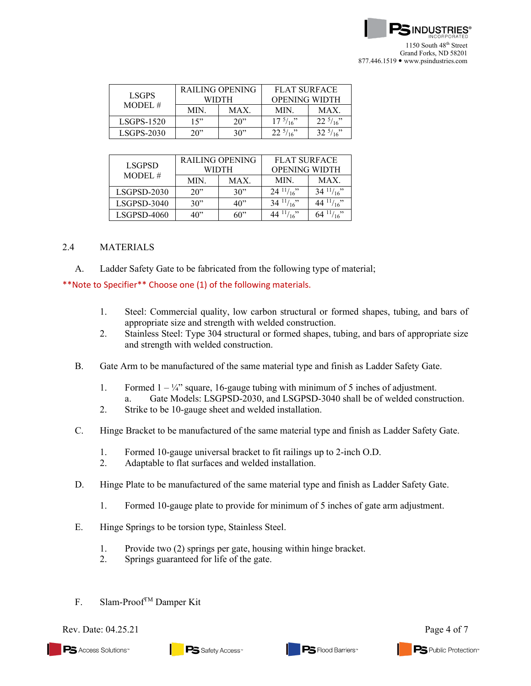

| LSGPS<br>MODE1.# | RAILING OPENING |      | <b>FLAT SURFACE</b>  |            |
|------------------|-----------------|------|----------------------|------------|
|                  | WIDTH           |      | <b>OPENING WIDTH</b> |            |
|                  | MIN.            | MAX. | <b>MIN</b>           | <b>MAX</b> |
| $LSGPS-1520$     | 15"             | 20   | $17^{5}/\frac{1}{6}$ | 22.5/16    |
| $LSGPS-2030$     | ንበ"             | 30"  | 22.5/16              | 32.5/16    |

| <b>LSGPSD</b><br>MODEL# | RAILING OPENING<br>WIDTH |      | <b>FLAT SURFACE</b><br><b>OPENING WIDTH</b> |                      |
|-------------------------|--------------------------|------|---------------------------------------------|----------------------|
|                         |                          |      |                                             |                      |
|                         | MIN.                     | MAX. | MIN.                                        | MAX.                 |
| LSGPSD-2030             | $20$ "                   | 30"  | $24$ $\frac{11}{16}$                        | $34$ $\frac{11}{16}$ |
| $LSGPSD-3040$           | 30"                      | 40"  | $34^{11}/16$                                | 44 $\frac{11}{16}$ " |
| LSGPSD-4060             | $40$ "                   | 60"  | 44 $\frac{11}{16}$                          | $^{11/16}$           |

#### 2.4 MATERIALS

A. Ladder Safety Gate to be fabricated from the following type of material;

\*\*Note to Specifier\*\* Choose one (1) of the following materials.

- 1. Steel: Commercial quality, low carbon structural or formed shapes, tubing, and bars of appropriate size and strength with welded construction.
- 2. Stainless Steel: Type 304 structural or formed shapes, tubing, and bars of appropriate size and strength with welded construction.
- B. Gate Arm to be manufactured of the same material type and finish as Ladder Safety Gate.
	- 1. Formed  $1 \frac{1}{4}$  square, 16-gauge tubing with minimum of 5 inches of adjustment.
	- a. Gate Models: LSGPSD-2030, and LSGPSD-3040 shall be of welded construction.
	- 2. Strike to be 10-gauge sheet and welded installation.
- C. Hinge Bracket to be manufactured of the same material type and finish as Ladder Safety Gate.
	- 1. Formed 10-gauge universal bracket to fit railings up to 2-inch O.D.
	- 2. Adaptable to flat surfaces and welded installation.
- D. Hinge Plate to be manufactured of the same material type and finish as Ladder Safety Gate.
	- 1. Formed 10-gauge plate to provide for minimum of 5 inches of gate arm adjustment.
- E. Hinge Springs to be torsion type, Stainless Steel.
	- 1. Provide two (2) springs per gate, housing within hinge bracket.
	- 2. Springs guaranteed for life of the gate.
- F. Slam-Proof<sup>TM</sup> Damper Kit

Rev. Date:  $04.25.21$  Page 4 of 7

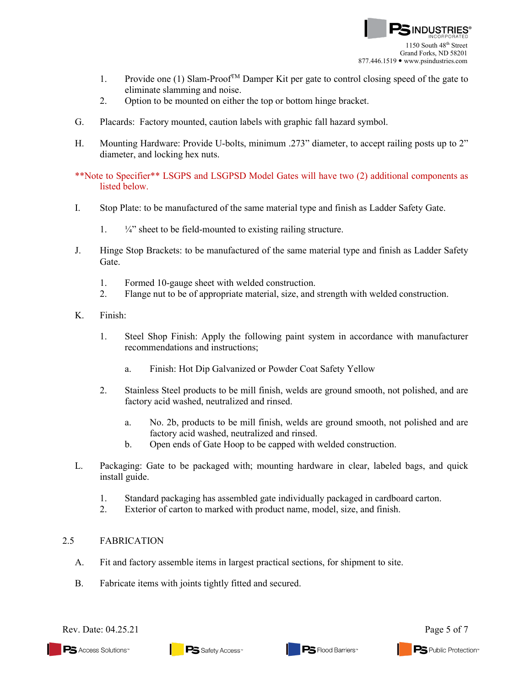

- 1. Provide one (1) Slam-Proof<sup>TM</sup> Damper Kit per gate to control closing speed of the gate to eliminate slamming and noise.
- 2. Option to be mounted on either the top or bottom hinge bracket.
- G. Placards: Factory mounted, caution labels with graphic fall hazard symbol.
- H. Mounting Hardware: Provide U-bolts, minimum .273" diameter, to accept railing posts up to 2" diameter, and locking hex nuts.

\*\*Note to Specifier\*\* LSGPS and LSGPSD Model Gates will have two (2) additional components as listed below.

- I. Stop Plate: to be manufactured of the same material type and finish as Ladder Safety Gate.
	- 1.  $\frac{1}{4}$  sheet to be field-mounted to existing railing structure.
- J. Hinge Stop Brackets: to be manufactured of the same material type and finish as Ladder Safety Gate.
	- 1. Formed 10-gauge sheet with welded construction.
	- 2. Flange nut to be of appropriate material, size, and strength with welded construction.
- K. Finish:
	- 1. Steel Shop Finish: Apply the following paint system in accordance with manufacturer recommendations and instructions;
		- a. Finish: Hot Dip Galvanized or Powder Coat Safety Yellow
	- 2. Stainless Steel products to be mill finish, welds are ground smooth, not polished, and are factory acid washed, neutralized and rinsed.
		- a. No. 2b, products to be mill finish, welds are ground smooth, not polished and are factory acid washed, neutralized and rinsed.
		- b. Open ends of Gate Hoop to be capped with welded construction.
- L. Packaging: Gate to be packaged with; mounting hardware in clear, labeled bags, and quick install guide.
	- 1. Standard packaging has assembled gate individually packaged in cardboard carton.
	- 2. Exterior of carton to marked with product name, model, size, and finish.

### 2.5 FABRICATION

- A. Fit and factory assemble items in largest practical sections, for shipment to site.
- B. Fabricate items with joints tightly fitted and secured.



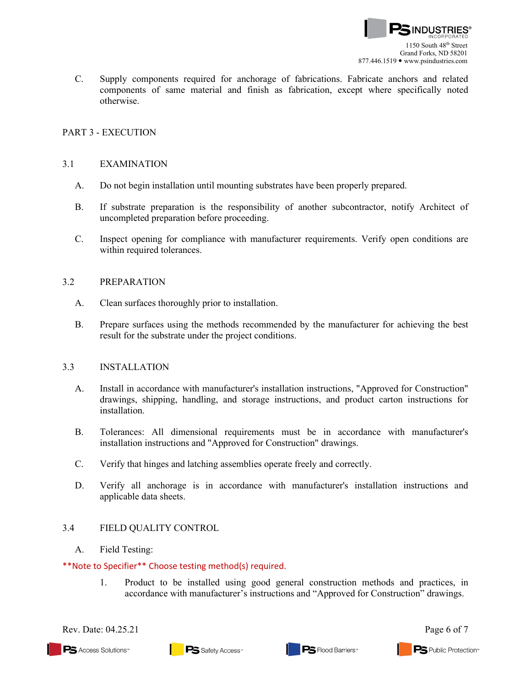C. Supply components required for anchorage of fabrications. Fabricate anchors and related components of same material and finish as fabrication, except where specifically noted otherwise.

## PART 3 - EXECUTION

### 3.1 EXAMINATION

- A. Do not begin installation until mounting substrates have been properly prepared.
- B. If substrate preparation is the responsibility of another subcontractor, notify Architect of uncompleted preparation before proceeding.
- C. Inspect opening for compliance with manufacturer requirements. Verify open conditions are within required tolerances.

#### 3.2 PREPARATION

- A. Clean surfaces thoroughly prior to installation.
- B. Prepare surfaces using the methods recommended by the manufacturer for achieving the best result for the substrate under the project conditions.

### 3.3 INSTALLATION

- A. Install in accordance with manufacturer's installation instructions, "Approved for Construction" drawings, shipping, handling, and storage instructions, and product carton instructions for installation.
- B. Tolerances: All dimensional requirements must be in accordance with manufacturer's installation instructions and "Approved for Construction" drawings.
- C. Verify that hinges and latching assemblies operate freely and correctly.
- D. Verify all anchorage is in accordance with manufacturer's installation instructions and applicable data sheets.

### 3.4 FIELD QUALITY CONTROL

### A. Field Testing:

#### \*\*Note to Specifier\*\* Choose testing method(s) required.

1. Product to be installed using good general construction methods and practices, in accordance with manufacturer's instructions and "Approved for Construction" drawings.